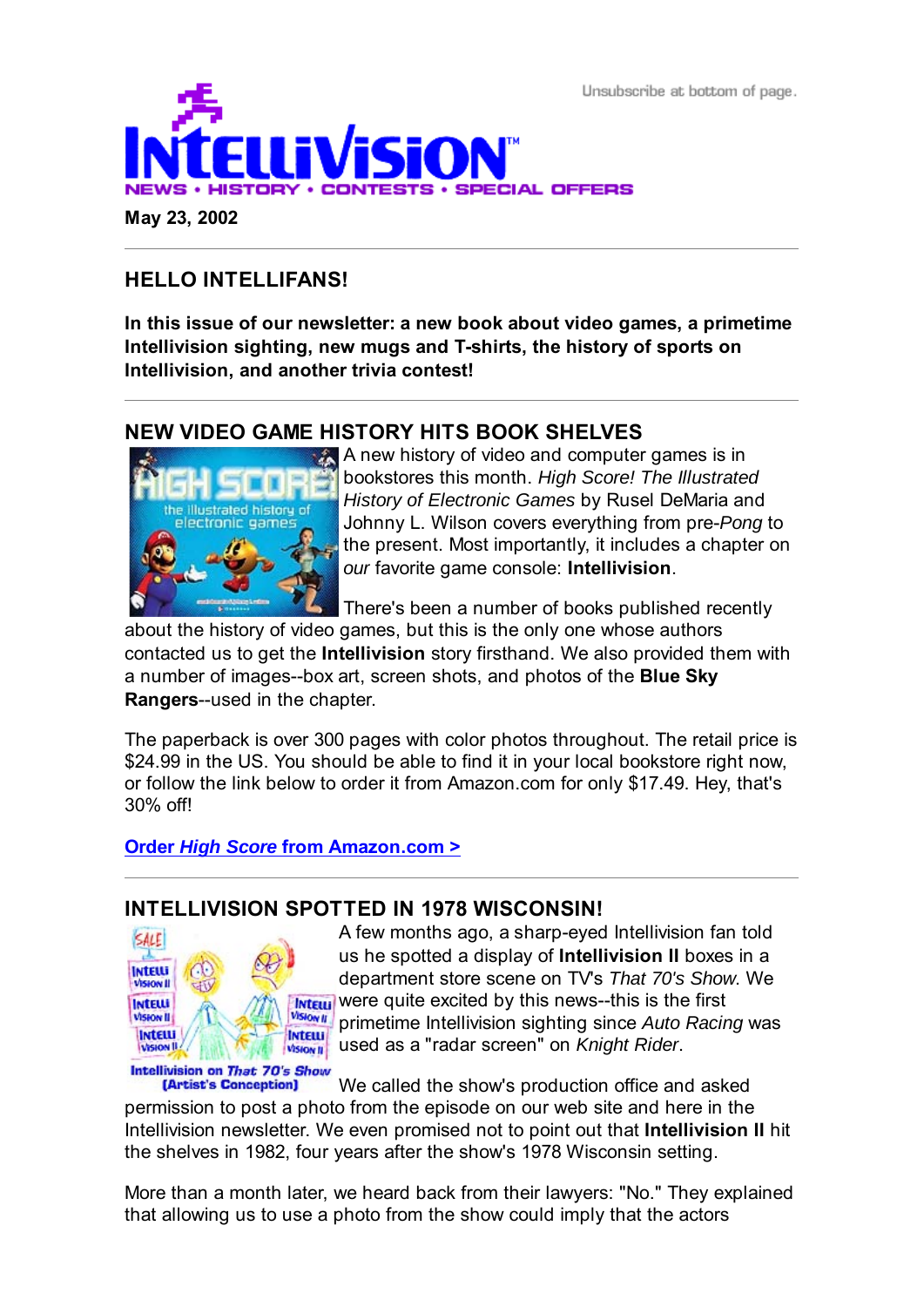Unsubscribe at bottom of page.



# **HELLO INTELLIFANS!**

**In this issue of our newsletter: a new book about video games, a primetime Intellivision sighting, new mugs and T-shirts, the history of sports on Intellivision, and another trivia contest!**

## **NEW VIDEO GAME HISTORY HITS BOOK SHELVES**



A new history of video and computer games is in bookstores this month. *High Score! The Illustrated History of Electronic Games* by Rusel DeMaria and Johnny L. Wilson covers everything from pre-*Pong* to the present. Most importantly, it includes a chapter on *our* favorite game console: **Intellivision**.

There's been a number of books published recently

about the history of video games, but this is the only one whose authors contacted us to get the **Intellivision** story firsthand. We also provided them with a number of images--box art, screen shots, and photos of the **Blue Sky Rangers**--used in the chapter.

The paperback is over 300 pages with color photos throughout. The retail price is \$24.99 in the US. You should be able to find it in your local bookstore right now, or follow the link below to order it from Amazon.com for only \$17.49. Hey, that's 30% off!

**Order** *High Score* **from Amazon.com >**

## **INTELLIVISION SPOTTED IN 1978 WISCONSIN!**



A few months ago, a sharp-eyed Intellivision fan told us he spotted a display of **Intellivision II** boxes in a department store scene on TV's *That 70's Show*. We **INTEILL** Were quite excited by this news--this is the first primetime Intellivision sighting since *Auto Racing* was used as a "radar screen" on *Knight Rider*.

Intellivision on That 70's Show

We called the show's production office and asked [Artist's Conception] permission to post a photo from the episode on our web site and here in the Intellivision newsletter. We even promised not to point out that **Intellivision II** hit the shelves in 1982, four years after the show's 1978 Wisconsin setting.

More than a month later, we heard back from their lawyers: "No." They explained that allowing us to use a photo from the show could imply that the actors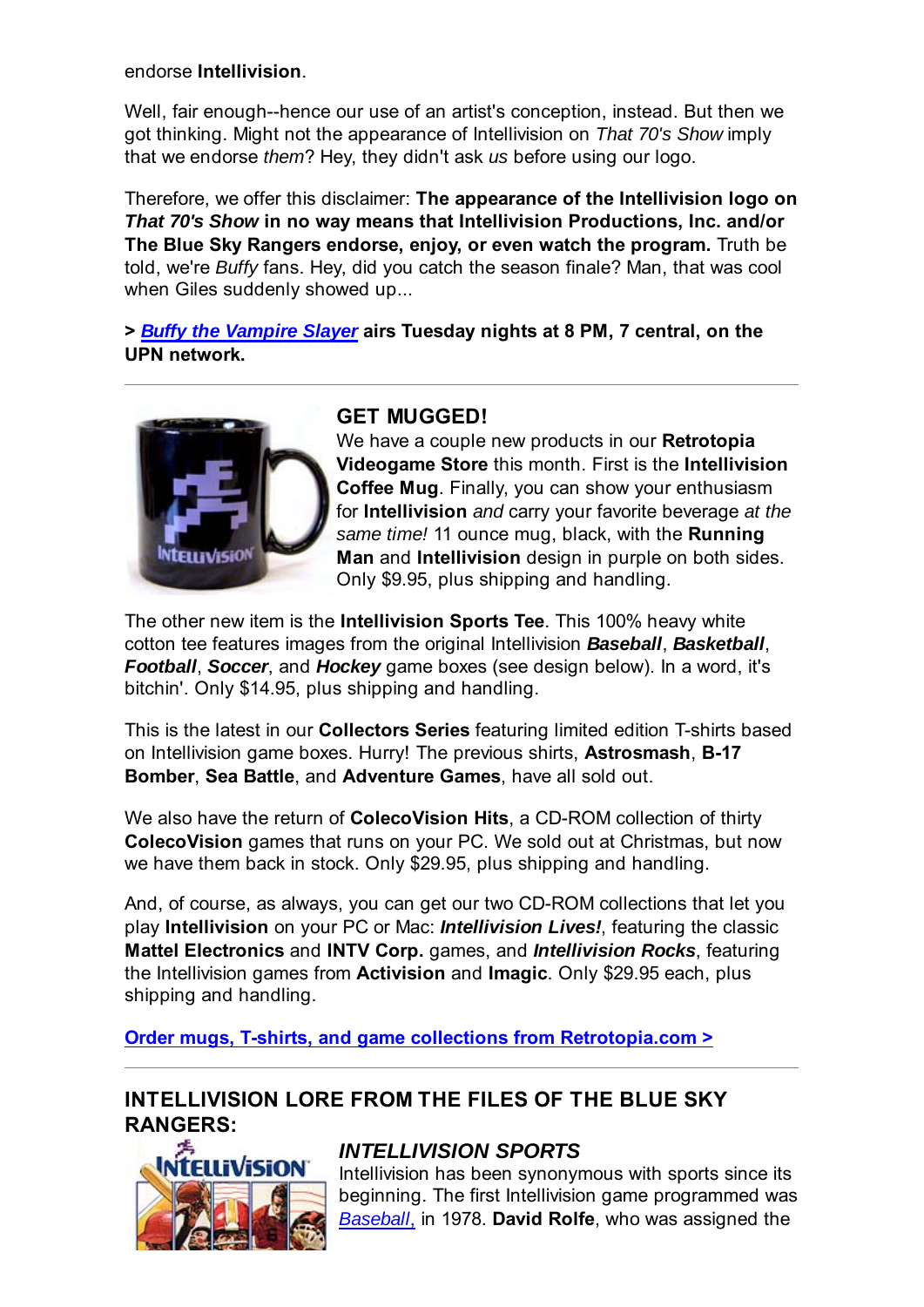#### endorse **Intellivision**.

Well, fair enough--hence our use of an artist's conception, instead. But then we got thinking. Might not the appearance of Intellivision on *That 70's Show* imply that we endorse *them*? Hey, they didn't ask *us* before using our logo.

Therefore, we offer this disclaimer: **The appearance of the Intellivision logo on** *That 70's Show* **in no way means that Intellivision Productions, Inc. and/or The Blue Sky Rangers endorse, enjoy, or even watch the program.** Truth be told, we're *Buffy* fans. Hey, did you catch the season finale? Man, that was cool when Giles suddenly showed up...

**>** *Buffy the Vampire Slayer* **airs Tuesday nights at 8 PM, 7 central, on the UPN network.**



## **GET MUGGED!**

We have a couple new products in our **Retrotopia Videogame Store** this month. First is the **Intellivision Coffee Mug**. Finally, you can show your enthusiasm for **Intellivision** *and* carry your favorite beverage *at the same time!* 11 ounce mug, black, with the **Running Man** and **Intellivision** design in purple on both sides. Only \$9.95, plus shipping and handling.

The other new item is the **Intellivision Sports Tee**. This 100% heavy white cotton tee features images from the original Intellivision *Baseball*, *Basketball*, *Football*, *Soccer*, and *Hockey* game boxes (see design below). In a word, it's bitchin'. Only \$14.95, plus shipping and handling.

This is the latest in our **Collectors Series** featuring limited edition T-shirts based on Intellivision game boxes. Hurry! The previous shirts, **Astrosmash**, **B-17 Bomber**, **Sea Battle**, and **Adventure Games**, have all sold out.

We also have the return of **ColecoVision Hits**, a CD-ROM collection of thirty **ColecoVision** games that runs on your PC. We sold out at Christmas, but now we have them back in stock. Only \$29.95, plus shipping and handling.

And, of course, as always, you can get our two CD-ROM collections that let you play **Intellivision** on your PC or Mac: *Intellivision Lives!*, featuring the classic **Mattel Electronics** and **INTV Corp.** games, and *Intellivision Rocks*, featuring the Intellivision games from **Activision** and **Imagic**. Only \$29.95 each, plus shipping and handling.

**Order mugs, T-shirts, and game collections from Retrotopia.com >**

## **INTELLIVISION LORE FROM THE FILES OF THE BLUE SKY RANGERS:**



### *INTELLIVISION SPORTS*

Intellivision has been synonymous with sports since its beginning. The first Intellivision game programmed was *Baseball*, in 1978. **David Rolfe**, who was assigned the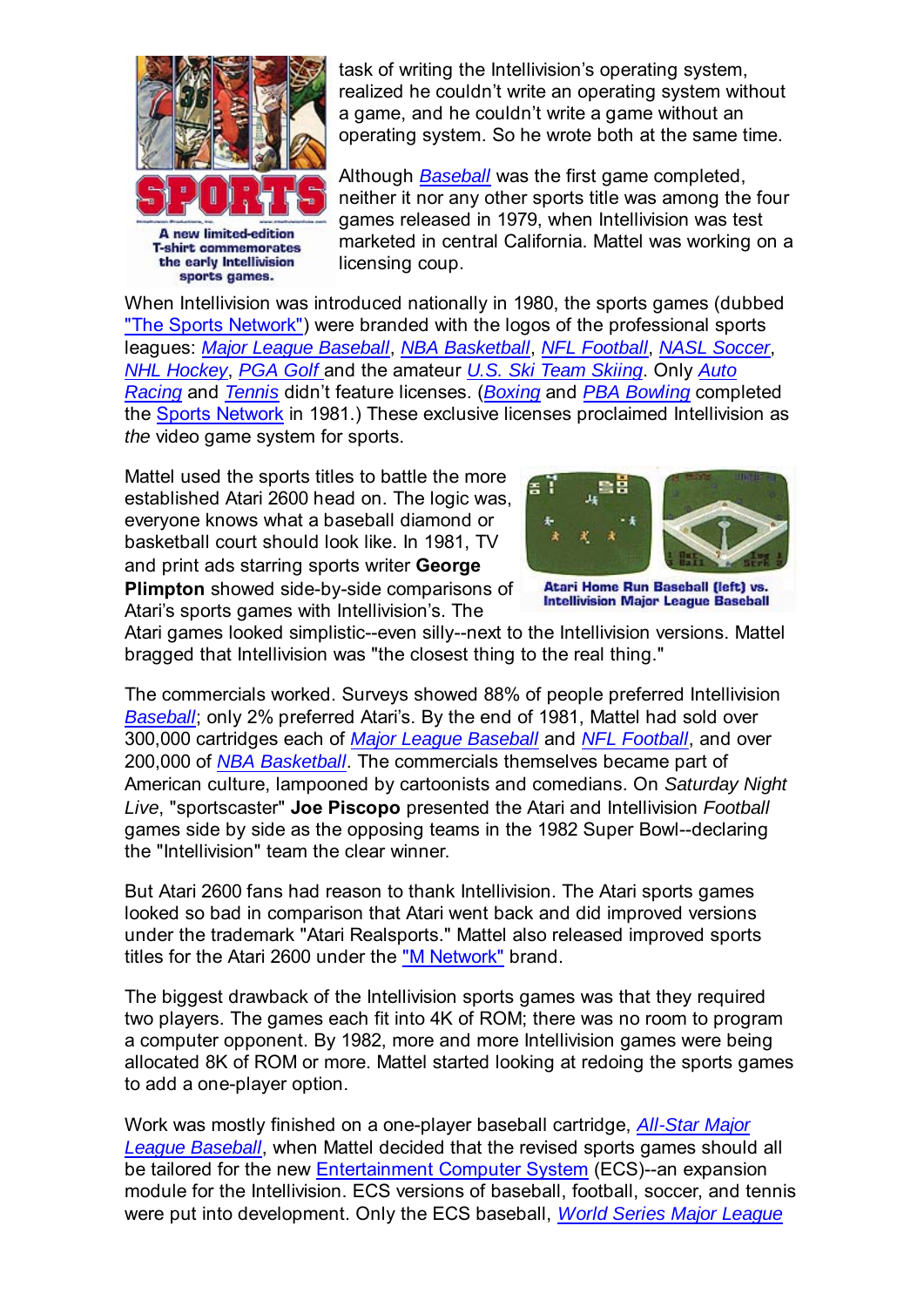

task of writing the Intellivision's operating system, realized he couldn't write an operating system without a game, and he couldn't write a game without an operating system. So he wrote both at the same time.

Although *Baseball* was the first game completed, neither it nor any other sports title was among the four games released in 1979, when Intellivision was test marketed in central California. Mattel was working on a licensing coup.

When Intellivision was introduced nationally in 1980, the sports games (dubbed "The Sports Network") were branded with the logos of the professional sports leagues: *Major League Baseball*, *NBA Basketball*, *NFL Football*, *NASL Soccer*, *NHL Hockey*, *PGA Golf* and the amateur *U.S. Ski Team Skiing*. Only *Auto Racing* and *Tennis* didn't feature licenses. (*Boxing* and *PBA Bowling* completed the Sports Network in 1981.) These exclusive licenses proclaimed Intellivision as *the* video game system for sports.

Mattel used the sports titles to battle the more established Atari 2600 head on. The logic was, everyone knows what a baseball diamond or basketball court should look like. In 1981, TV and print ads starring sports writer **George Plimpton** showed side-by-side comparisons of Atari's sports games with Intellivision's. The



Atari Home Run Baseball (left) vs. **Intellivision Major League Baseball** 

Atari games looked simplistic--even silly--next to the Intellivision versions. Mattel bragged that Intellivision was "the closest thing to the real thing."

The commercials worked. Surveys showed 88% of people preferred Intellivision *Baseball*; only 2% preferred Atari's. By the end of 1981, Mattel had sold over 300,000 cartridges each of *Major League Baseball* and *NFL Football*, and over 200,000 of *NBA Basketball*. The commercials themselves became part of American culture, lampooned by cartoonists and comedians. On *Saturday Night Live*, "sportscaster" **Joe Piscopo** presented the Atari and Intellivision *Football* games side by side as the opposing teams in the 1982 Super Bowl--declaring the "Intellivision" team the clear winner.

But Atari 2600 fans had reason to thank Intellivision. The Atari sports games looked so bad in comparison that Atari went back and did improved versions under the trademark "Atari Realsports." Mattel also released improved sports titles for the Atari 2600 under the "M Network" brand.

The biggest drawback of the Intellivision sports games was that they required two players. The games each fit into 4K of ROM; there was no room to program a computer opponent. By 1982, more and more Intellivision games were being allocated 8K of ROM or more. Mattel started looking at redoing the sports games to add a one-player option.

Work was mostly finished on a one-player baseball cartridge, *All-Star Major League Baseball*, when Mattel decided that the revised sports games should all be tailored for the new Entertainment Computer System (ECS)--an expansion module for the Intellivision. ECS versions of baseball, football, soccer, and tennis were put into development. Only the ECS baseball, *World Series Major League*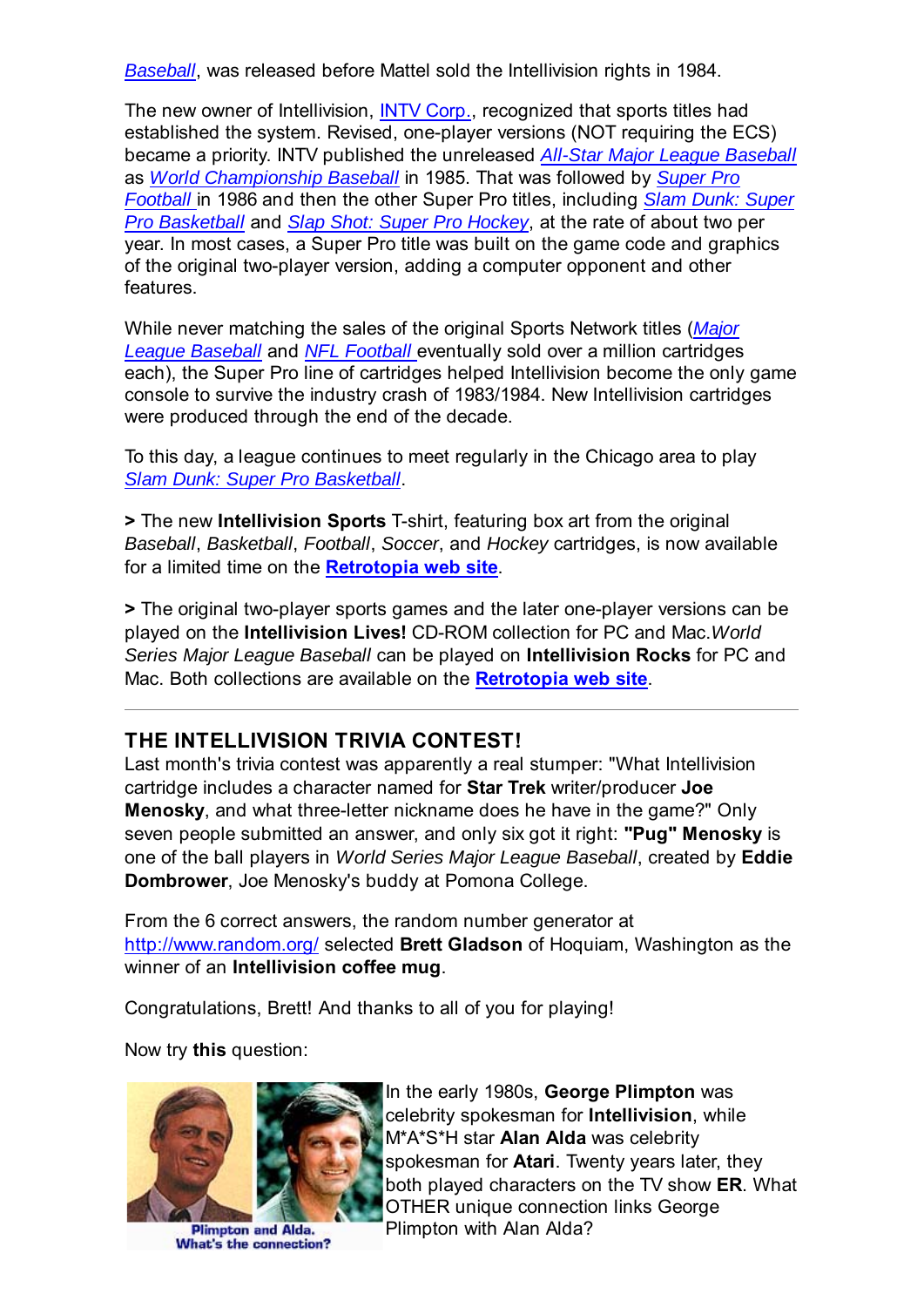*Baseball*, was released before Mattel sold the Intellivision rights in 1984.

The new owner of Intellivision, INTV Corp., recognized that sports titles had established the system. Revised, one-player versions (NOT requiring the ECS) became a priority. INTV published the unreleased *All-Star Major League Baseball* as *World Championship Baseball* in 1985. That was followed by *Super Pro Football* in 1986 and then the other Super Pro titles, including *Slam Dunk: Super Pro Basketball* and *Slap Shot: Super Pro Hockey*, at the rate of about two per year. In most cases, a Super Pro title was built on the game code and graphics of the original two-player version, adding a computer opponent and other features.

While never matching the sales of the original Sports Network titles (*Major League Baseball* and *NFL Football* eventually sold over a million cartridges each), the Super Pro line of cartridges helped Intellivision become the only game console to survive the industry crash of 1983/1984. New Intellivision cartridges were produced through the end of the decade.

To this day, a league continues to meet regularly in the Chicago area to play *Slam Dunk: Super Pro Basketball*.

**>** The new **Intellivision Sports** T-shirt, featuring box art from the original *Baseball*, *Basketball*, *Football*, *Soccer*, and *Hockey* cartridges, is now available for a limited time on the **Retrotopia web site**.

**>** The original two-player sports games and the later one-player versions can be played on the **Intellivision Lives!** CD-ROM collection for PC and Mac.*World Series Major League Baseball* can be played on **Intellivision Rocks** for PC and Mac. Both collections are available on the **Retrotopia web site**.

### **THE INTELLIVISION TRIVIA CONTEST!**

Last month's trivia contest was apparently a real stumper: "What Intellivision cartridge includes a character named for **Star Trek** writer/producer **Joe Menosky**, and what three-letter nickname does he have in the game?" Only seven people submitted an answer, and only six got it right: **"Pug" Menosky** is one of the ball players in *World Series Major League Baseball*, created by **Eddie Dombrower**, Joe Menosky's buddy at Pomona College.

From the 6 correct answers, the random number generator at http://www.random.org/ selected **Brett Gladson** of Hoquiam, Washington as the winner of an **Intellivision coffee mug**.

Congratulations, Brett! And thanks to all of you for playing!

Now try **this** question:



**Plimpton and Alda.** What's the connection?

In the early 1980s, **George Plimpton** was celebrity spokesman for **Intellivision**, while M\*A\*S\*H star **Alan Alda** was celebrity spokesman for **Atari**. Twenty years later, they both played characters on the TV show **ER**. What OTHER unique connection links George Plimpton with Alan Alda?